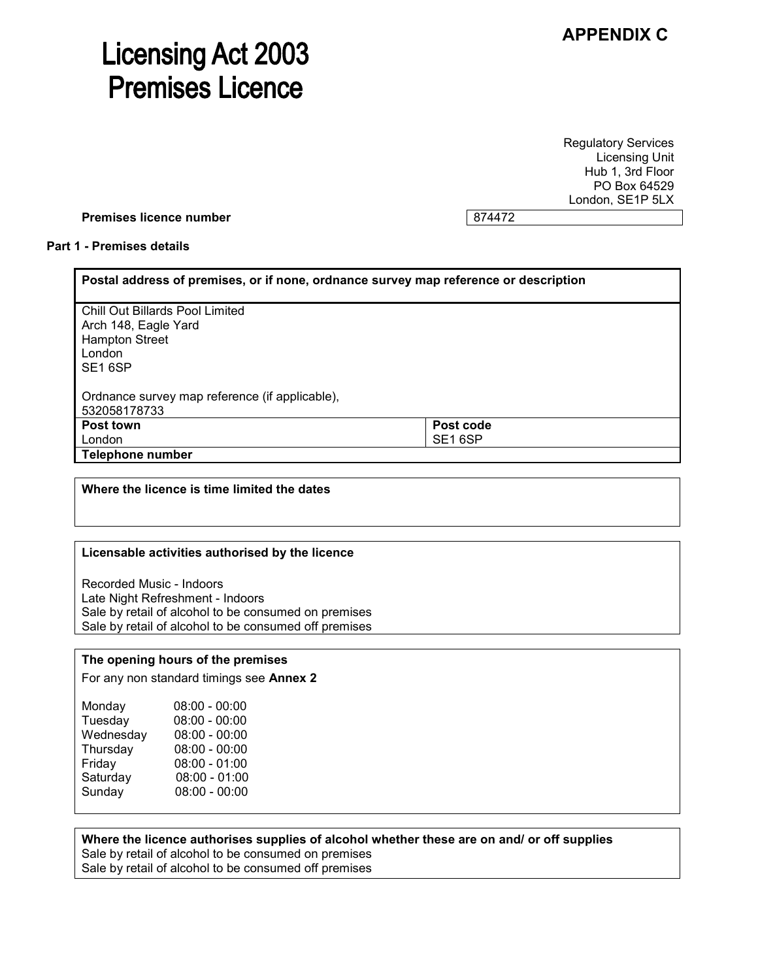# **APPENDIX C**

# **Licensing Act 2003 Premises Licence**

Regulatory Services Licensing Unit Hub 1, 3rd Floor PO Box 64529 London, SE1P 5LX

#### **Premises licence number** 874472

#### **Part 1 - Premises details**

| Postal address of premises, or if none, ordnance survey map reference or description                                     |                     |  |
|--------------------------------------------------------------------------------------------------------------------------|---------------------|--|
| <b>Chill Out Billards Pool Limited</b><br>Arch 148, Eagle Yard<br><b>Hampton Street</b><br>London<br>SE <sub>16</sub> SP |                     |  |
| Ordnance survey map reference (if applicable),<br>532058178733                                                           |                     |  |
| Post town                                                                                                                | Post code           |  |
| London                                                                                                                   | SE <sub>16</sub> SP |  |
| Telephone number                                                                                                         |                     |  |

#### **Where the licence is time limited the dates**

#### **Licensable activities authorised by the licence**

Recorded Music - Indoors Late Night Refreshment - Indoors Sale by retail of alcohol to be consumed on premises Sale by retail of alcohol to be consumed off premises

#### **The opening hours of the premises**

For any non standard timings see **Annex 2**

| Monday    | $08:00 - 00:00$ |
|-----------|-----------------|
| Tuesday   | $08:00 - 00:00$ |
| Wednesday | $08:00 - 00:00$ |
| Thursday  | $08:00 - 00:00$ |
| Friday    | $08:00 - 01:00$ |
| Saturday  | $08:00 - 01:00$ |
| Sunday    | $08:00 - 00:00$ |
|           |                 |

#### **Where the licence authorises supplies of alcohol whether these are on and/ or off supplies** Sale by retail of alcohol to be consumed on premises

Sale by retail of alcohol to be consumed off premises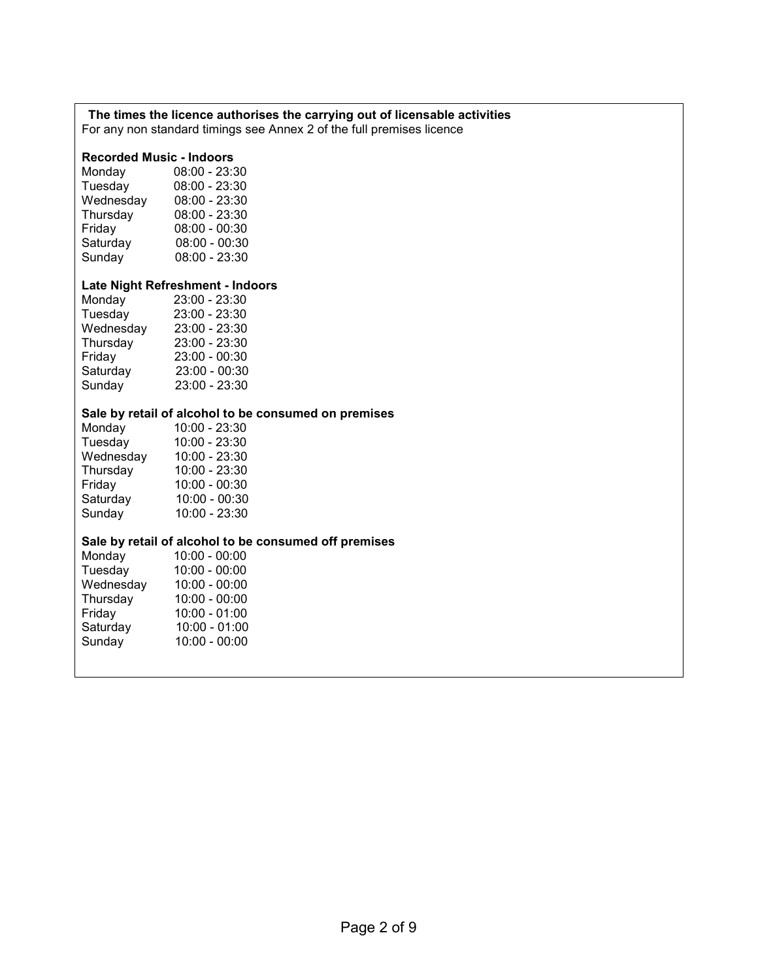# **The times the licence authorises the carrying out of licensable activities**

For any non standard timings see Annex 2 of the full premises licence

### **Recorded Music - Indoors**

| Monday    | 08:00 - 23:30   |
|-----------|-----------------|
| Tuesday   | $08:00 - 23:30$ |
| Wednesday | 08:00 - 23:30   |
| Thursday  | 08:00 - 23:30   |
| Friday    | $08:00 - 00:30$ |
| Saturday  | $08:00 - 00:30$ |
| Sunday    | $08:00 - 23:30$ |
|           |                 |

#### **Late Night Refreshment - Indoors**

| Monday    | 23:00 - 23:30   |
|-----------|-----------------|
| Tuesday   | 23:00 - 23:30   |
| Wednesday | 23:00 - 23:30   |
| Thursday  | 23:00 - 23:30   |
| Friday    | $23:00 - 00:30$ |
| Saturday  | 23:00 - 00:30   |
| Sunday    | 23:00 - 23:30   |
|           |                 |

#### **Sale by retail of alcohol to be consumed on premises**

| Monday    | 10:00 - 23:30   |
|-----------|-----------------|
| Tuesday   | 10:00 - 23:30   |
| Wednesday | 10:00 - 23:30   |
| Thursday  | 10:00 - 23:30   |
| Friday    | $10:00 - 00:30$ |
| Saturday  | 10:00 - 00:30   |
| Sunday    | 10:00 - 23:30   |
|           |                 |

# **Sale by retail of alcohol to be consumed off premises**

| Monday    | $10:00 - 00:00$ |
|-----------|-----------------|
| Tuesday   | $10:00 - 00:00$ |
| Wednesday | $10:00 - 00:00$ |
| Thursday  | $10:00 - 00:00$ |
| Friday    | $10:00 - 01:00$ |
| Saturday  | $10:00 - 01:00$ |
| Sunday    | $10:00 - 00:00$ |
|           |                 |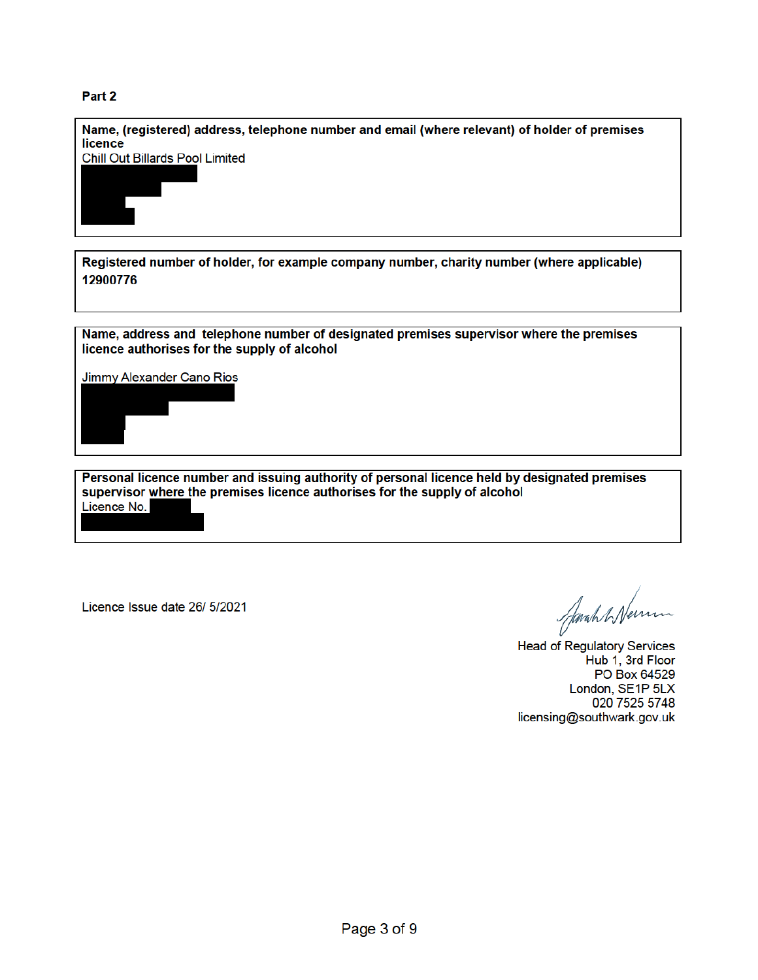## Part<sub>2</sub>



Licence Issue date 26/ 5/2021

Jarah & Nemm

**Head of Regulatory Services** Hub 1, 3rd Floor PO Box 64529 London, SE1P 5LX 020 7525 5748 licensing@southwark.gov.uk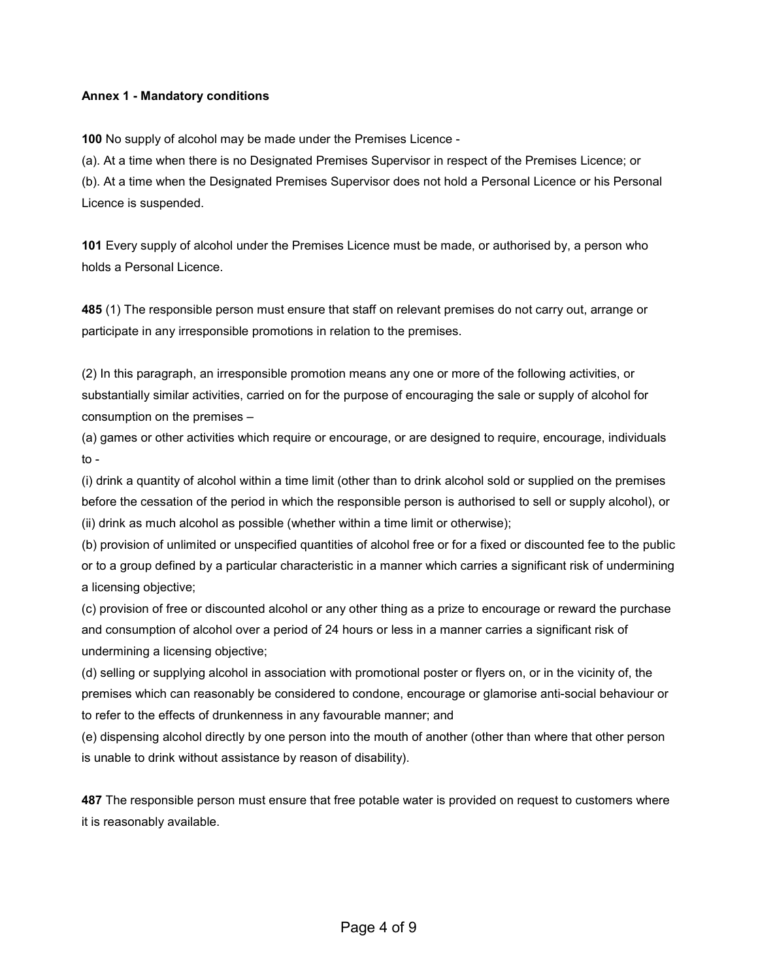#### **Annex 1 - Mandatory conditions**

**100** No supply of alcohol may be made under the Premises Licence -

(a). At a time when there is no Designated Premises Supervisor in respect of the Premises Licence; or (b). At a time when the Designated Premises Supervisor does not hold a Personal Licence or his Personal Licence is suspended.

**101** Every supply of alcohol under the Premises Licence must be made, or authorised by, a person who holds a Personal Licence.

**485** (1) The responsible person must ensure that staff on relevant premises do not carry out, arrange or participate in any irresponsible promotions in relation to the premises.

(2) In this paragraph, an irresponsible promotion means any one or more of the following activities, or substantially similar activities, carried on for the purpose of encouraging the sale or supply of alcohol for consumption on the premises –

(a) games or other activities which require or encourage, or are designed to require, encourage, individuals to -

(i) drink a quantity of alcohol within a time limit (other than to drink alcohol sold or supplied on the premises before the cessation of the period in which the responsible person is authorised to sell or supply alcohol), or (ii) drink as much alcohol as possible (whether within a time limit or otherwise);

(b) provision of unlimited or unspecified quantities of alcohol free or for a fixed or discounted fee to the public or to a group defined by a particular characteristic in a manner which carries a significant risk of undermining a licensing objective;

(c) provision of free or discounted alcohol or any other thing as a prize to encourage or reward the purchase and consumption of alcohol over a period of 24 hours or less in a manner carries a significant risk of undermining a licensing objective;

(d) selling or supplying alcohol in association with promotional poster or flyers on, or in the vicinity of, the premises which can reasonably be considered to condone, encourage or glamorise anti-social behaviour or to refer to the effects of drunkenness in any favourable manner; and

(e) dispensing alcohol directly by one person into the mouth of another (other than where that other person is unable to drink without assistance by reason of disability).

**487** The responsible person must ensure that free potable water is provided on request to customers where it is reasonably available.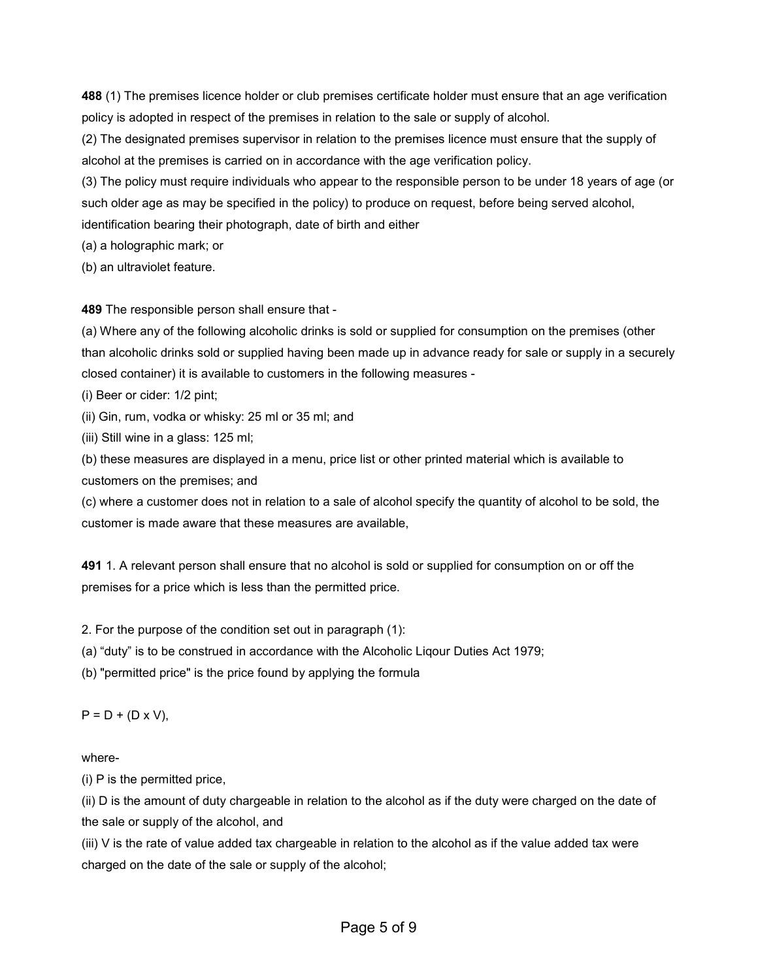**488** (1) The premises licence holder or club premises certificate holder must ensure that an age verification policy is adopted in respect of the premises in relation to the sale or supply of alcohol.

(2) The designated premises supervisor in relation to the premises licence must ensure that the supply of alcohol at the premises is carried on in accordance with the age verification policy.

(3) The policy must require individuals who appear to the responsible person to be under 18 years of age (or such older age as may be specified in the policy) to produce on request, before being served alcohol, identification bearing their photograph, date of birth and either

(a) a holographic mark; or

(b) an ultraviolet feature.

**489** The responsible person shall ensure that -

(a) Where any of the following alcoholic drinks is sold or supplied for consumption on the premises (other than alcoholic drinks sold or supplied having been made up in advance ready for sale or supply in a securely closed container) it is available to customers in the following measures -

(i) Beer or cider: 1/2 pint;

(ii) Gin, rum, vodka or whisky: 25 ml or 35 ml; and

(iii) Still wine in a glass: 125 ml;

(b) these measures are displayed in a menu, price list or other printed material which is available to customers on the premises; and

(c) where a customer does not in relation to a sale of alcohol specify the quantity of alcohol to be sold, the customer is made aware that these measures are available,

**491** 1. A relevant person shall ensure that no alcohol is sold or supplied for consumption on or off the premises for a price which is less than the permitted price.

2. For the purpose of the condition set out in paragraph (1):

(a) "duty" is to be construed in accordance with the Alcoholic Liqour Duties Act 1979;

(b) "permitted price" is the price found by applying the formula

 $P = D + (D \times V)$ ,

#### where-

(i) P is the permitted price,

(ii) D is the amount of duty chargeable in relation to the alcohol as if the duty were charged on the date of the sale or supply of the alcohol, and

(iii) V is the rate of value added tax chargeable in relation to the alcohol as if the value added tax were charged on the date of the sale or supply of the alcohol;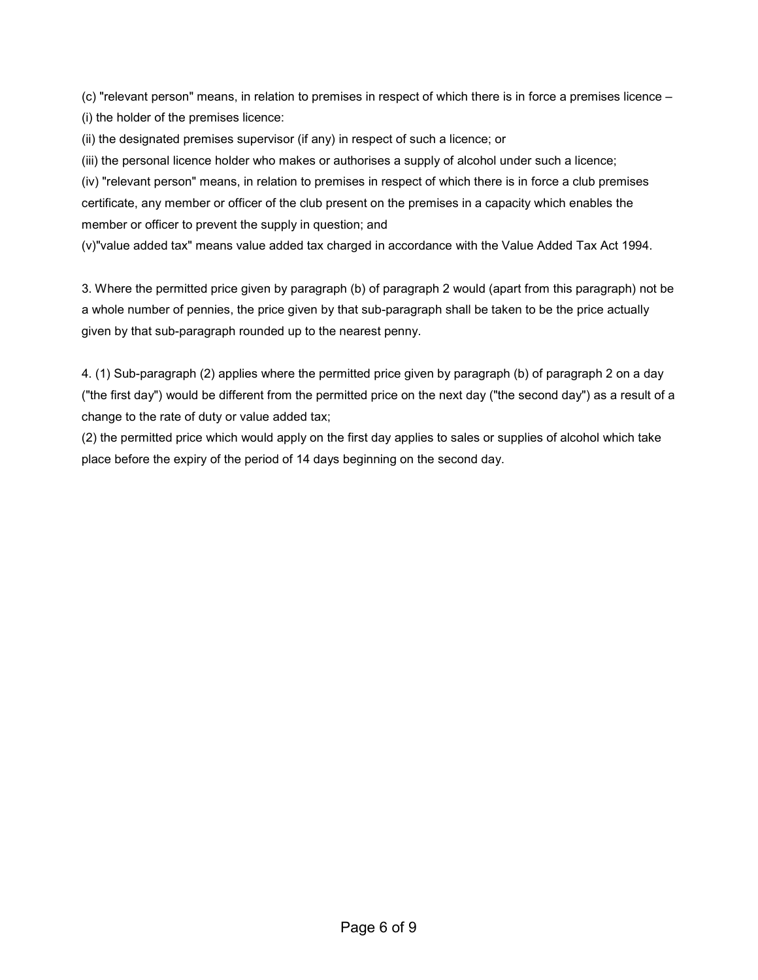(c) "relevant person" means, in relation to premises in respect of which there is in force a premises licence – (i) the holder of the premises licence:

(ii) the designated premises supervisor (if any) in respect of such a licence; or

(iii) the personal licence holder who makes or authorises a supply of alcohol under such a licence;

(iv) "relevant person" means, in relation to premises in respect of which there is in force a club premises certificate, any member or officer of the club present on the premises in a capacity which enables the member or officer to prevent the supply in question; and

(v)"value added tax" means value added tax charged in accordance with the Value Added Tax Act 1994.

3. Where the permitted price given by paragraph (b) of paragraph 2 would (apart from this paragraph) not be a whole number of pennies, the price given by that sub-paragraph shall be taken to be the price actually given by that sub-paragraph rounded up to the nearest penny.

4. (1) Sub-paragraph (2) applies where the permitted price given by paragraph (b) of paragraph 2 on a day ("the first day") would be different from the permitted price on the next day ("the second day") as a result of a change to the rate of duty or value added tax;

(2) the permitted price which would apply on the first day applies to sales or supplies of alcohol which take place before the expiry of the period of 14 days beginning on the second day.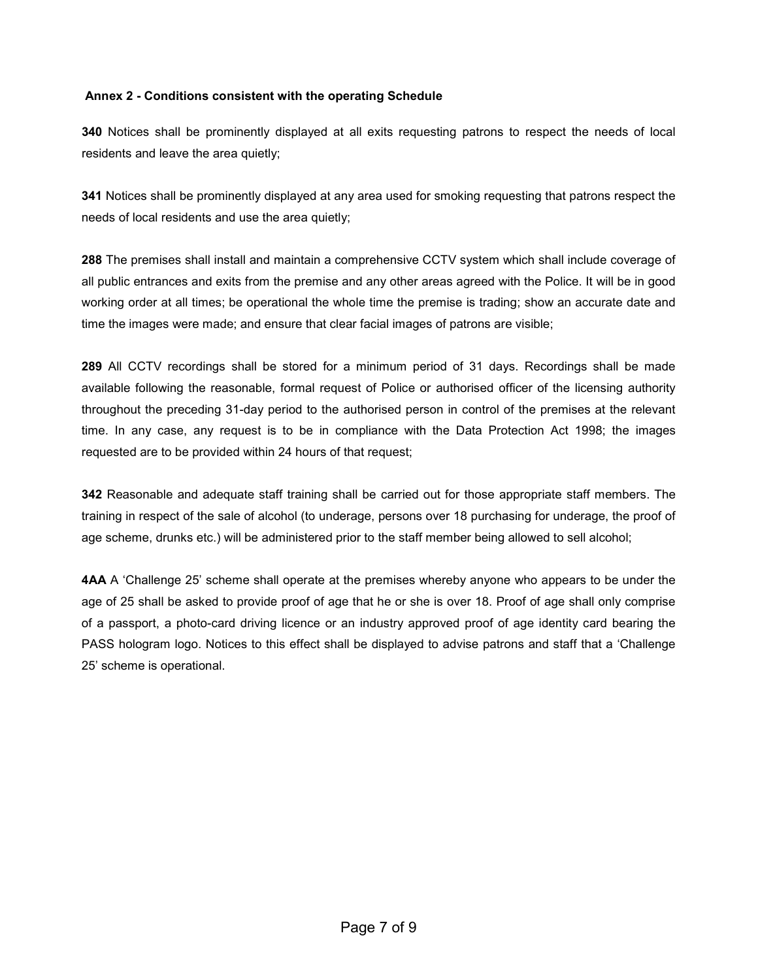#### **Annex 2 - Conditions consistent with the operating Schedule**

**340** Notices shall be prominently displayed at all exits requesting patrons to respect the needs of local residents and leave the area quietly;

**341** Notices shall be prominently displayed at any area used for smoking requesting that patrons respect the needs of local residents and use the area quietly;

**288** The premises shall install and maintain a comprehensive CCTV system which shall include coverage of all public entrances and exits from the premise and any other areas agreed with the Police. It will be in good working order at all times; be operational the whole time the premise is trading; show an accurate date and time the images were made; and ensure that clear facial images of patrons are visible;

**289** All CCTV recordings shall be stored for a minimum period of 31 days. Recordings shall be made available following the reasonable, formal request of Police or authorised officer of the licensing authority throughout the preceding 31-day period to the authorised person in control of the premises at the relevant time. In any case, any request is to be in compliance with the Data Protection Act 1998; the images requested are to be provided within 24 hours of that request;

**342** Reasonable and adequate staff training shall be carried out for those appropriate staff members. The training in respect of the sale of alcohol (to underage, persons over 18 purchasing for underage, the proof of age scheme, drunks etc.) will be administered prior to the staff member being allowed to sell alcohol;

**4AA** A 'Challenge 25' scheme shall operate at the premises whereby anyone who appears to be under the age of 25 shall be asked to provide proof of age that he or she is over 18. Proof of age shall only comprise of a passport, a photo-card driving licence or an industry approved proof of age identity card bearing the PASS hologram logo. Notices to this effect shall be displayed to advise patrons and staff that a 'Challenge 25' scheme is operational.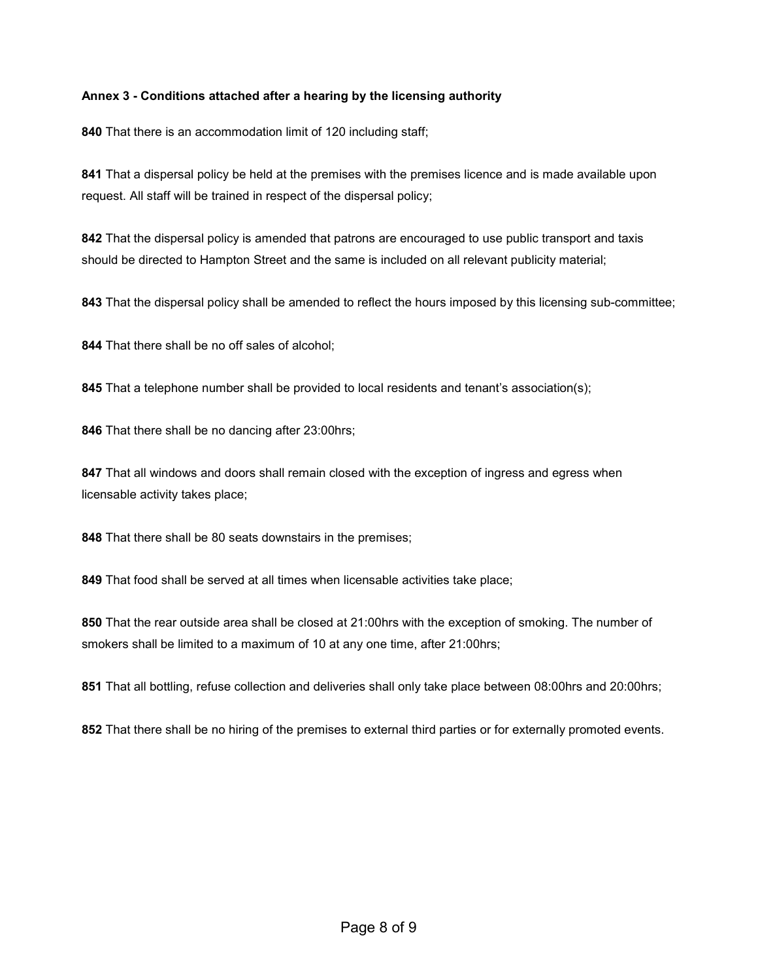#### **Annex 3 - Conditions attached after a hearing by the licensing authority**

That there is an accommodation limit of 120 including staff;

 That a dispersal policy be held at the premises with the premises licence and is made available upon request. All staff will be trained in respect of the dispersal policy;

 That the dispersal policy is amended that patrons are encouraged to use public transport and taxis should be directed to Hampton Street and the same is included on all relevant publicity material;

That the dispersal policy shall be amended to reflect the hours imposed by this licensing sub-committee;

That there shall be no off sales of alcohol;

That a telephone number shall be provided to local residents and tenant's association(s);

That there shall be no dancing after 23:00hrs;

 That all windows and doors shall remain closed with the exception of ingress and egress when licensable activity takes place;

That there shall be 80 seats downstairs in the premises;

That food shall be served at all times when licensable activities take place;

 That the rear outside area shall be closed at 21:00hrs with the exception of smoking. The number of smokers shall be limited to a maximum of 10 at any one time, after 21:00hrs;

That all bottling, refuse collection and deliveries shall only take place between 08:00hrs and 20:00hrs;

That there shall be no hiring of the premises to external third parties or for externally promoted events.